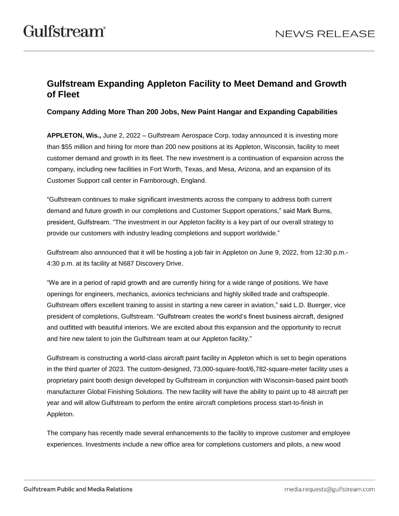## **Gulfstream Expanding Appleton Facility to Meet Demand and Growth of Fleet**

**Company Adding More Than 200 Jobs, New Paint Hangar and Expanding Capabilities** 

**APPLETON, Wis.,** June 2, 2022 *–* Gulfstream Aerospace Corp. today announced it is investing more than \$55 million and hiring for more than 200 new positions at its Appleton, Wisconsin, facility to meet customer demand and growth in its fleet. The new investment is a continuation of expansion across the company, including new facilities in Fort Worth, Texas, and Mesa, Arizona, and an expansion of its Customer Support call center in Farnborough, England.

"Gulfstream continues to make significant investments across the company to address both current demand and future growth in our completions and Customer Support operations," said Mark Burns, president, Gulfstream. "The investment in our Appleton facility is a key part of our overall strategy to provide our customers with industry leading completions and support worldwide."

Gulfstream also announced that it will be hosting a job fair in Appleton on June 9, 2022, from 12:30 p.m.- 4:30 p.m. at its facility at N687 Discovery Drive.

"We are in a period of rapid growth and are currently hiring for a wide range of positions. We have openings for engineers, mechanics, avionics technicians and highly skilled trade and craftspeople. Gulfstream offers excellent training to assist in starting a new career in aviation," said L.D. Buerger, vice president of completions, Gulfstream. "Gulfstream creates the world's finest business aircraft, designed and outfitted with beautiful interiors. We are excited about this expansion and the opportunity to recruit and hire new talent to join the Gulfstream team at our Appleton facility."

Gulfstream is constructing a world-class aircraft paint facility in Appleton which is set to begin operations in the third quarter of 2023. The custom-designed, 73,000-square-foot/6,782-square-meter facility uses a proprietary paint booth design developed by Gulfstream in conjunction with Wisconsin-based paint booth manufacturer Global Finishing Solutions. The new facility will have the ability to paint up to 48 aircraft per year and will allow Gulfstream to perform the entire aircraft completions process start-to-finish in Appleton.

The company has recently made several enhancements to the facility to improve customer and employee experiences. Investments include a new office area for completions customers and pilots, a new wood